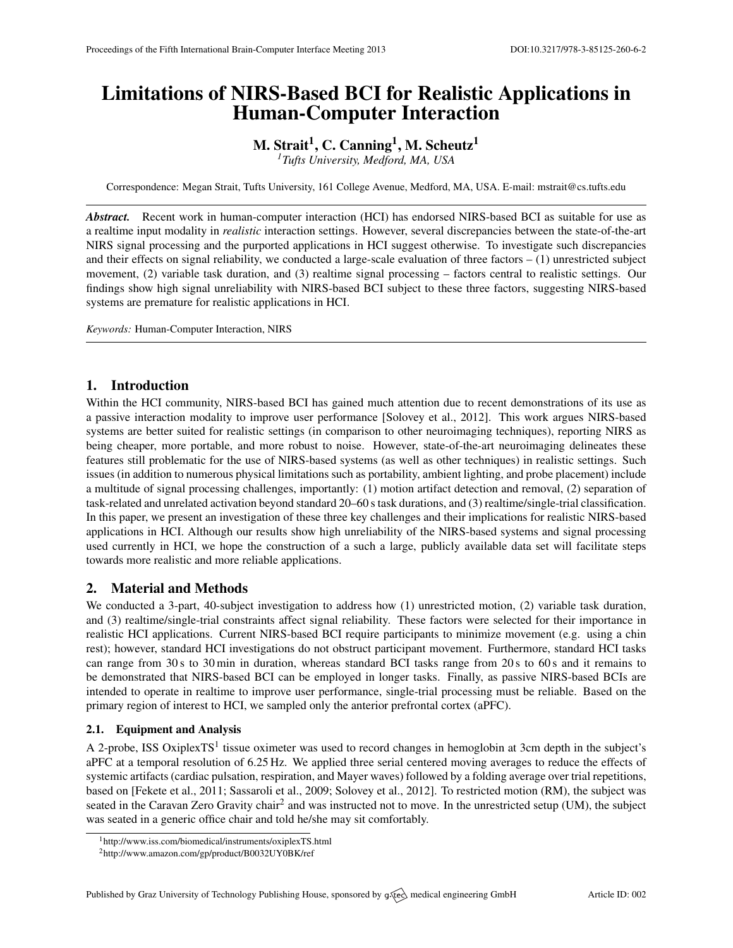# Limitations of NIRS-Based BCI for Realistic Applications in Human-Computer Interaction

## M. Strait $^1$ , C. Canning $^1$ , M. Scheutz $^1$

*<sup>1</sup>Tufts University, Medford, MA, USA*

Correspondence: Megan Strait, Tufts University, 161 College Avenue, Medford, MA, USA. E-mail: [mstrait@cs.tufts.edu](mailto:mstrait@cs.tufts.edu)

*Abstract.* Recent work in human-computer interaction (HCI) has endorsed NIRS-based BCI as suitable for use as a realtime input modality in *realistic* interaction settings. However, several discrepancies between the state-of-the-art NIRS signal processing and the purported applications in HCI suggest otherwise. To investigate such discrepancies and their effects on signal reliability, we conducted a large-scale evaluation of three factors  $- (1)$  unrestricted subject movement, (2) variable task duration, and (3) realtime signal processing – factors central to realistic settings. Our findings show high signal unreliability with NIRS-based BCI subject to these three factors, suggesting NIRS-based systems are premature for realistic applications in HCI.

*Keywords:* Human-Computer Interaction, NIRS

## 1. Introduction

Within the HCI community, NIRS-based BCI has gained much attention due to recent demonstrations of its use as a passive interaction modality to improve user performance [\[Solovey et al.,](#page-1-0) [2012\]](#page-1-0). This work argues NIRS-based systems are better suited for realistic settings (in comparison to other neuroimaging techniques), reporting NIRS as being cheaper, more portable, and more robust to noise. However, state-of-the-art neuroimaging delineates these features still problematic for the use of NIRS-based systems (as well as other techniques) in realistic settings. Such issues (in addition to numerous physical limitations such as portability, ambient lighting, and probe placement) include a multitude of signal processing challenges, importantly: (1) motion artifact detection and removal, (2) separation of task-related and unrelated activation beyond standard 20–60 s task durations, and (3) realtime/single-trial classification. In this paper, we present an investigation of these three key challenges and their implications for realistic NIRS-based applications in HCI. Although our results show high unreliability of the NIRS-based systems and signal processing used currently in HCI, we hope the construction of a such a large, publicly available data set will facilitate steps towards more realistic and more reliable applications.

## 2. Material and Methods

We conducted a 3-part, 40-subject investigation to address how (1) unrestricted motion, (2) variable task duration, and (3) realtime/single-trial constraints affect signal reliability. These factors were selected for their importance in realistic HCI applications. Current NIRS-based BCI require participants to minimize movement (e.g. using a chin rest); however, standard HCI investigations do not obstruct participant movement. Furthermore, standard HCI tasks can range from 30 s to 30 min in duration, whereas standard BCI tasks range from 20 s to 60 s and it remains to be demonstrated that NIRS-based BCI can be employed in longer tasks. Finally, as passive NIRS-based BCIs are intended to operate in realtime to improve user performance, single-trial processing must be reliable. Based on the primary region of interest to HCI, we sampled only the anterior prefrontal cortex (aPFC).

### 2.1. Equipment and Analysis

A 2-probe, ISS OxiplexTS<sup>[1](#page-0-0)</sup> tissue oximeter was used to record changes in hemoglobin at 3cm depth in the subject's aPFC at a temporal resolution of 6.25 Hz. We applied three serial centered moving averages to reduce the effects of systemic artifacts (cardiac pulsation, respiration, and Mayer waves) followed by a folding average over trial repetitions, based on [\[Fekete et al.,](#page-1-1) [2011;](#page-1-1) [Sassaroli et al.,](#page-1-2) [2009;](#page-1-2) [Solovey et al.,](#page-1-0) [2012\]](#page-1-0). To restricted motion (RM), the subject was seated in the Caravan Zero Gravity chair<sup>[2](#page-0-1)</sup> and was instructed not to move. In the unrestricted setup (UM), the subject was seated in a generic office chair and told he/she may sit comfortably.

<span id="page-0-0"></span><sup>&</sup>lt;sup>1</sup><http://www.iss.com/biomedical/instruments/oxiplexTS.html>

<span id="page-0-1"></span><sup>2</sup><http://www.amazon.com/gp/product/B0032UY0BK/ref>